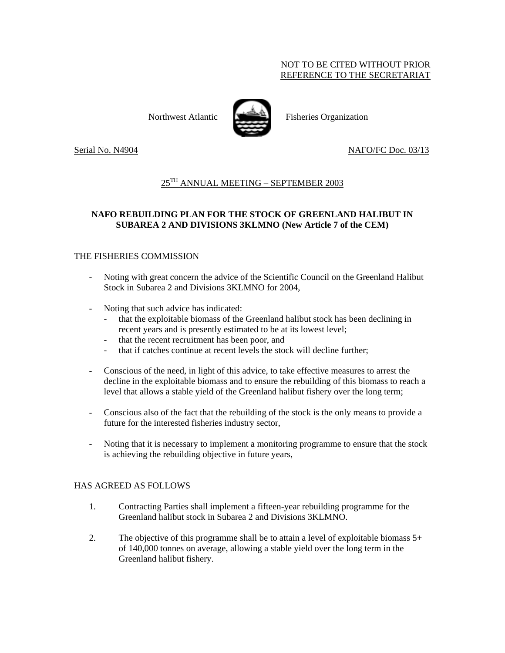#### NOT TO BE CITED WITHOUT PRIOR REFERENCE TO THE SECRETARIAT



Northwest Atlantic  $\mathbb{R}$  Fisheries Organization

Serial No. N4904 NAFO/FC Doc. 03/13

# 25TH ANNUAL MEETING – SEPTEMBER 2003

## **NAFO REBUILDING PLAN FOR THE STOCK OF GREENLAND HALIBUT IN SUBAREA 2 AND DIVISIONS 3KLMNO (New Article 7 of the CEM)**

## THE FISHERIES COMMISSION

- Noting with great concern the advice of the Scientific Council on the Greenland Halibut Stock in Subarea 2 and Divisions 3KLMNO for 2004,
- Noting that such advice has indicated:
	- that the exploitable biomass of the Greenland halibut stock has been declining in recent years and is presently estimated to be at its lowest level;
	- that the recent recruitment has been poor, and
	- that if catches continue at recent levels the stock will decline further;
- Conscious of the need, in light of this advice, to take effective measures to arrest the decline in the exploitable biomass and to ensure the rebuilding of this biomass to reach a level that allows a stable yield of the Greenland halibut fishery over the long term;
- Conscious also of the fact that the rebuilding of the stock is the only means to provide a future for the interested fisheries industry sector,
- Noting that it is necessary to implement a monitoring programme to ensure that the stock is achieving the rebuilding objective in future years,

#### HAS AGREED AS FOLLOWS

- 1. Contracting Parties shall implement a fifteen-year rebuilding programme for the Greenland halibut stock in Subarea 2 and Divisions 3KLMNO.
- 2. The objective of this programme shall be to attain a level of exploitable biomass 5+ of 140,000 tonnes on average, allowing a stable yield over the long term in the Greenland halibut fishery.